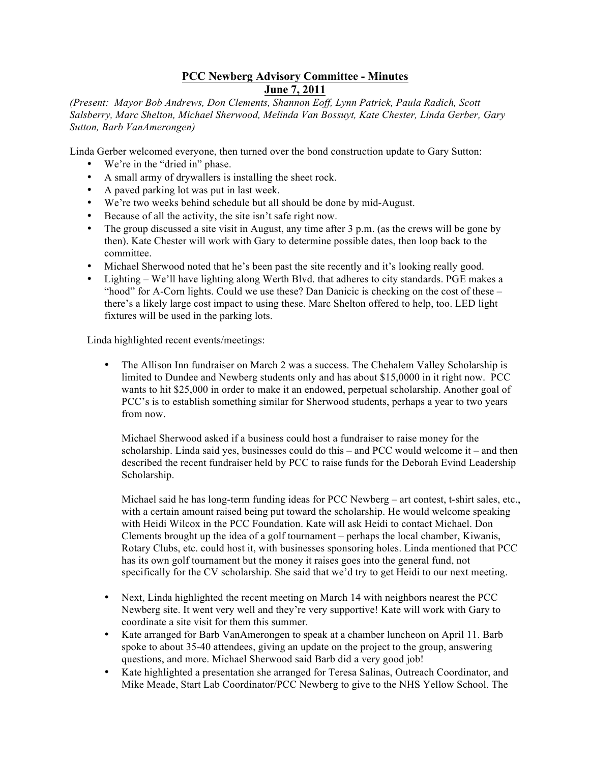## **PCC Newberg Advisory Committee - Minutes June 7, 2011**

*(Present: Mayor Bob Andrews, Don Clements, Shannon Eoff, Lynn Patrick, Paula Radich, Scott Salsberry, Marc Shelton, Michael Sherwood, Melinda Van Bossuyt, Kate Chester, Linda Gerber, Gary Sutton, Barb VanAmerongen)*

Linda Gerber welcomed everyone, then turned over the bond construction update to Gary Sutton:

- We're in the "dried in" phase.
- A small army of drywallers is installing the sheet rock.
- A paved parking lot was put in last week.
- We're two weeks behind schedule but all should be done by mid-August.
- Because of all the activity, the site isn't safe right now.
- The group discussed a site visit in August, any time after 3 p.m. (as the crews will be gone by then). Kate Chester will work with Gary to determine possible dates, then loop back to the committee.
- Michael Sherwood noted that he's been past the site recently and it's looking really good.
- Lighting We'll have lighting along Werth Blvd. that adheres to city standards. PGE makes a "hood" for A-Corn lights. Could we use these? Dan Danicic is checking on the cost of these – there's a likely large cost impact to using these. Marc Shelton offered to help, too. LED light fixtures will be used in the parking lots.

Linda highlighted recent events/meetings:

• The Allison Inn fundraiser on March 2 was a success. The Chehalem Valley Scholarship is limited to Dundee and Newberg students only and has about \$15,0000 in it right now. PCC wants to hit \$25,000 in order to make it an endowed, perpetual scholarship. Another goal of PCC's is to establish something similar for Sherwood students, perhaps a year to two years from now.

Michael Sherwood asked if a business could host a fundraiser to raise money for the scholarship. Linda said yes, businesses could do this – and PCC would welcome it – and then described the recent fundraiser held by PCC to raise funds for the Deborah Evind Leadership Scholarship.

Michael said he has long-term funding ideas for PCC Newberg – art contest, t-shirt sales, etc., with a certain amount raised being put toward the scholarship. He would welcome speaking with Heidi Wilcox in the PCC Foundation. Kate will ask Heidi to contact Michael. Don Clements brought up the idea of a golf tournament – perhaps the local chamber, Kiwanis, Rotary Clubs, etc. could host it, with businesses sponsoring holes. Linda mentioned that PCC has its own golf tournament but the money it raises goes into the general fund, not specifically for the CV scholarship. She said that we'd try to get Heidi to our next meeting.

- Next, Linda highlighted the recent meeting on March 14 with neighbors nearest the PCC Newberg site. It went very well and they're very supportive! Kate will work with Gary to coordinate a site visit for them this summer.
- Kate arranged for Barb VanAmerongen to speak at a chamber luncheon on April 11. Barb spoke to about 35-40 attendees, giving an update on the project to the group, answering questions, and more. Michael Sherwood said Barb did a very good job!
- Kate highlighted a presentation she arranged for Teresa Salinas, Outreach Coordinator, and Mike Meade, Start Lab Coordinator/PCC Newberg to give to the NHS Yellow School. The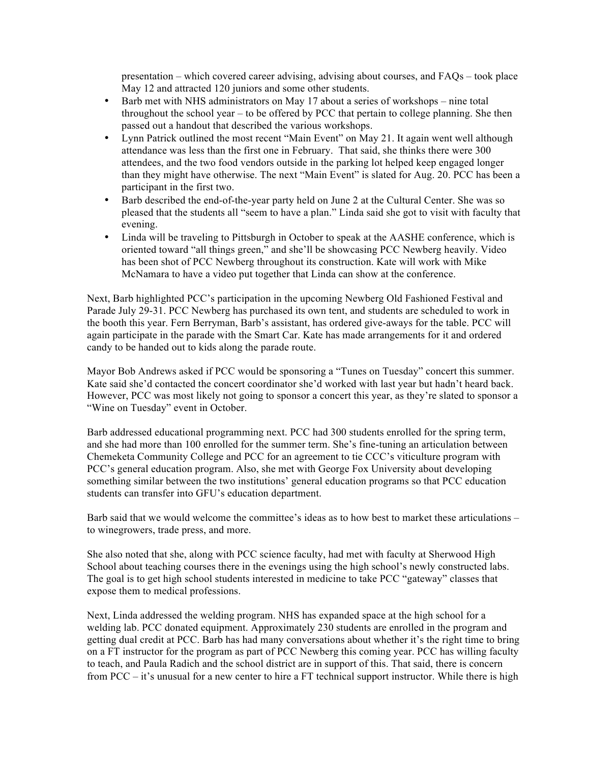presentation – which covered career advising, advising about courses, and FAQs – took place May 12 and attracted 120 juniors and some other students.

- Barb met with NHS administrators on May 17 about a series of workshops nine total throughout the school year – to be offered by PCC that pertain to college planning. She then passed out a handout that described the various workshops.
- Lynn Patrick outlined the most recent "Main Event" on May 21. It again went well although attendance was less than the first one in February. That said, she thinks there were 300 attendees, and the two food vendors outside in the parking lot helped keep engaged longer than they might have otherwise. The next "Main Event" is slated for Aug. 20. PCC has been a participant in the first two.
- Barb described the end-of-the-year party held on June 2 at the Cultural Center. She was so pleased that the students all "seem to have a plan." Linda said she got to visit with faculty that evening.
- Linda will be traveling to Pittsburgh in October to speak at the AASHE conference, which is oriented toward "all things green," and she'll be showcasing PCC Newberg heavily. Video has been shot of PCC Newberg throughout its construction. Kate will work with Mike McNamara to have a video put together that Linda can show at the conference.

Next, Barb highlighted PCC's participation in the upcoming Newberg Old Fashioned Festival and Parade July 29-31. PCC Newberg has purchased its own tent, and students are scheduled to work in the booth this year. Fern Berryman, Barb's assistant, has ordered give-aways for the table. PCC will again participate in the parade with the Smart Car. Kate has made arrangements for it and ordered candy to be handed out to kids along the parade route.

Mayor Bob Andrews asked if PCC would be sponsoring a "Tunes on Tuesday" concert this summer. Kate said she'd contacted the concert coordinator she'd worked with last year but hadn't heard back. However, PCC was most likely not going to sponsor a concert this year, as they're slated to sponsor a "Wine on Tuesday" event in October.

Barb addressed educational programming next. PCC had 300 students enrolled for the spring term, and she had more than 100 enrolled for the summer term. She's fine-tuning an articulation between Chemeketa Community College and PCC for an agreement to tie CCC's viticulture program with PCC's general education program. Also, she met with George Fox University about developing something similar between the two institutions' general education programs so that PCC education students can transfer into GFU's education department.

Barb said that we would welcome the committee's ideas as to how best to market these articulations – to winegrowers, trade press, and more.

She also noted that she, along with PCC science faculty, had met with faculty at Sherwood High School about teaching courses there in the evenings using the high school's newly constructed labs. The goal is to get high school students interested in medicine to take PCC "gateway" classes that expose them to medical professions.

Next, Linda addressed the welding program. NHS has expanded space at the high school for a welding lab. PCC donated equipment. Approximately 230 students are enrolled in the program and getting dual credit at PCC. Barb has had many conversations about whether it's the right time to bring on a FT instructor for the program as part of PCC Newberg this coming year. PCC has willing faculty to teach, and Paula Radich and the school district are in support of this. That said, there is concern from PCC – it's unusual for a new center to hire a FT technical support instructor. While there is high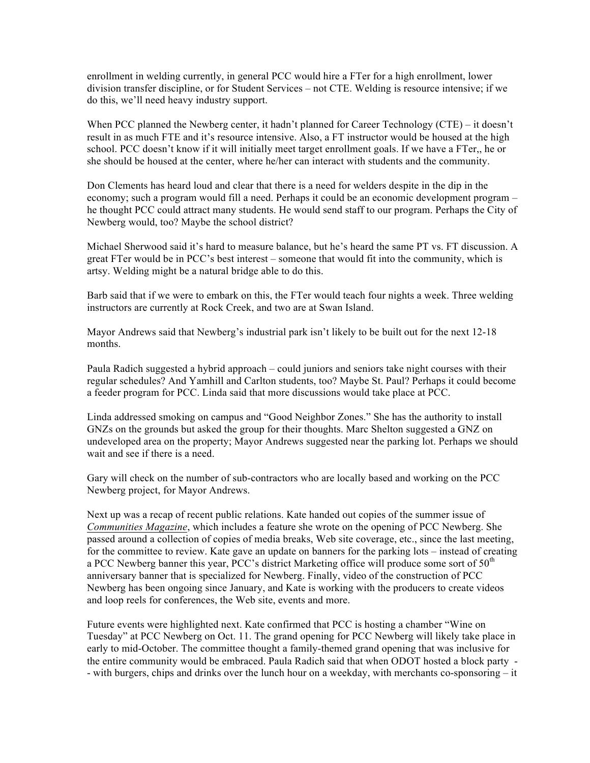enrollment in welding currently, in general PCC would hire a FTer for a high enrollment, lower division transfer discipline, or for Student Services – not CTE. Welding is resource intensive; if we do this, we'll need heavy industry support.

When PCC planned the Newberg center, it hadn't planned for Career Technology (CTE) – it doesn't result in as much FTE and it's resource intensive. Also, a FT instructor would be housed at the high school. PCC doesn't know if it will initially meet target enrollment goals. If we have a FTer,, he or she should be housed at the center, where he/her can interact with students and the community.

Don Clements has heard loud and clear that there is a need for welders despite in the dip in the economy; such a program would fill a need. Perhaps it could be an economic development program – he thought PCC could attract many students. He would send staff to our program. Perhaps the City of Newberg would, too? Maybe the school district?

Michael Sherwood said it's hard to measure balance, but he's heard the same PT vs. FT discussion. A great FTer would be in PCC's best interest – someone that would fit into the community, which is artsy. Welding might be a natural bridge able to do this.

Barb said that if we were to embark on this, the FTer would teach four nights a week. Three welding instructors are currently at Rock Creek, and two are at Swan Island.

Mayor Andrews said that Newberg's industrial park isn't likely to be built out for the next 12-18 months.

Paula Radich suggested a hybrid approach – could juniors and seniors take night courses with their regular schedules? And Yamhill and Carlton students, too? Maybe St. Paul? Perhaps it could become a feeder program for PCC. Linda said that more discussions would take place at PCC.

Linda addressed smoking on campus and "Good Neighbor Zones." She has the authority to install GNZs on the grounds but asked the group for their thoughts. Marc Shelton suggested a GNZ on undeveloped area on the property; Mayor Andrews suggested near the parking lot. Perhaps we should wait and see if there is a need.

Gary will check on the number of sub-contractors who are locally based and working on the PCC Newberg project, for Mayor Andrews.

Next up was a recap of recent public relations. Kate handed out copies of the summer issue of *Communities Magazine*, which includes a feature she wrote on the opening of PCC Newberg. She passed around a collection of copies of media breaks, Web site coverage, etc., since the last meeting, for the committee to review. Kate gave an update on banners for the parking lots – instead of creating a PCC Newberg banner this year, PCC's district Marketing office will produce some sort of  $50<sup>th</sup>$ anniversary banner that is specialized for Newberg. Finally, video of the construction of PCC Newberg has been ongoing since January, and Kate is working with the producers to create videos and loop reels for conferences, the Web site, events and more.

Future events were highlighted next. Kate confirmed that PCC is hosting a chamber "Wine on Tuesday" at PCC Newberg on Oct. 11. The grand opening for PCC Newberg will likely take place in early to mid-October. The committee thought a family-themed grand opening that was inclusive for the entire community would be embraced. Paula Radich said that when ODOT hosted a block party - - with burgers, chips and drinks over the lunch hour on a weekday, with merchants co-sponsoring – it